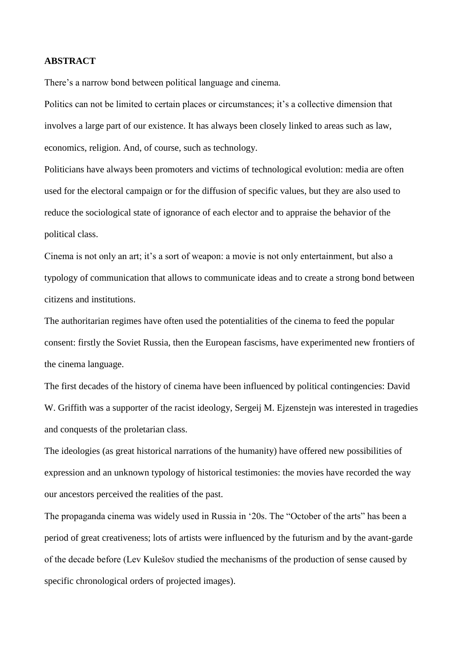## **ABSTRACT**

There's a narrow bond between political language and cinema.

Politics can not be limited to certain places or circumstances; it's a collective dimension that involves a large part of our existence. It has always been closely linked to areas such as law, economics, religion. And, of course, such as technology.

Politicians have always been promoters and victims of technological evolution: media are often used for the electoral campaign or for the diffusion of specific values, but they are also used to reduce the sociological state of ignorance of each elector and to appraise the behavior of the political class.

Cinema is not only an art; it"s a sort of weapon: a movie is not only entertainment, but also a typology of communication that allows to communicate ideas and to create a strong bond between citizens and institutions.

The authoritarian regimes have often used the potentialities of the cinema to feed the popular consent: firstly the Soviet Russia, then the European fascisms, have experimented new frontiers of the cinema language.

The first decades of the history of cinema have been influenced by political contingencies: David W. Griffith was a supporter of the racist ideology, Sergeij M. Ejzenstejn was interested in tragedies and conquests of the proletarian class.

The ideologies (as great historical narrations of the humanity) have offered new possibilities of expression and an unknown typology of historical testimonies: the movies have recorded the way our ancestors perceived the realities of the past.

The propaganda cinema was widely used in Russia in "20s. The "October of the arts" has been a period of great creativeness; lots of artists were influenced by the futurism and by the avant-garde of the decade before (Lev Kulešov studied the mechanisms of the production of sense caused by specific chronological orders of projected images).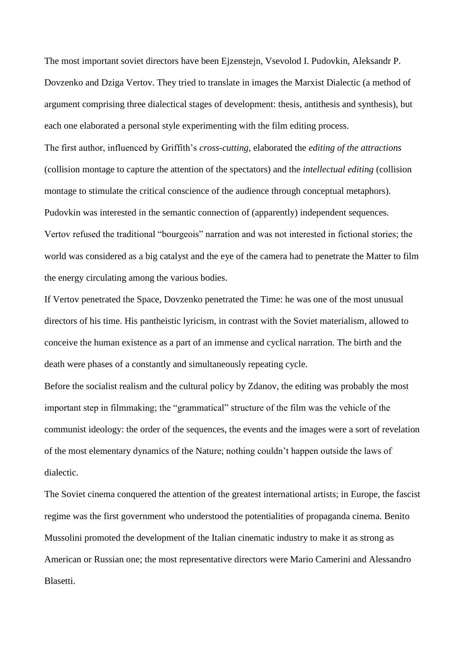The most important soviet directors have been Ejzenstejn, Vsevolod I. Pudovkin, Aleksandr P. Dovzenko and Dziga Vertov. They tried to translate in images the Marxist Dialectic (a method of argument comprising three dialectical stages of development: thesis, antithesis and synthesis), but each one elaborated a personal style experimenting with the film editing process.

The first author, influenced by Griffith"s *cross-cutting*, elaborated the *editing of the attractions* (collision montage to capture the attention of the spectators) and the *intellectual editing* (collision montage to stimulate the critical conscience of the audience through conceptual metaphors). Pudovkin was interested in the semantic connection of (apparently) independent sequences. Vertov refused the traditional "bourgeois" narration and was not interested in fictional stories; the world was considered as a big catalyst and the eye of the camera had to penetrate the Matter to film the energy circulating among the various bodies.

If Vertov penetrated the Space, Dovzenko penetrated the Time: he was one of the most unusual directors of his time. His pantheistic lyricism, in contrast with the Soviet materialism, allowed to conceive the human existence as a part of an immense and cyclical narration. The birth and the death were phases of a constantly and simultaneously repeating cycle.

Before the socialist realism and the cultural policy by Zdanov, the editing was probably the most important step in filmmaking; the "grammatical" structure of the film was the vehicle of the communist ideology: the order of the sequences, the events and the images were a sort of revelation of the most elementary dynamics of the Nature; nothing couldn"t happen outside the laws of dialectic.

The Soviet cinema conquered the attention of the greatest international artists; in Europe, the fascist regime was the first government who understood the potentialities of propaganda cinema. Benito Mussolini promoted the development of the Italian cinematic industry to make it as strong as American or Russian one; the most representative directors were Mario Camerini and Alessandro Blasetti.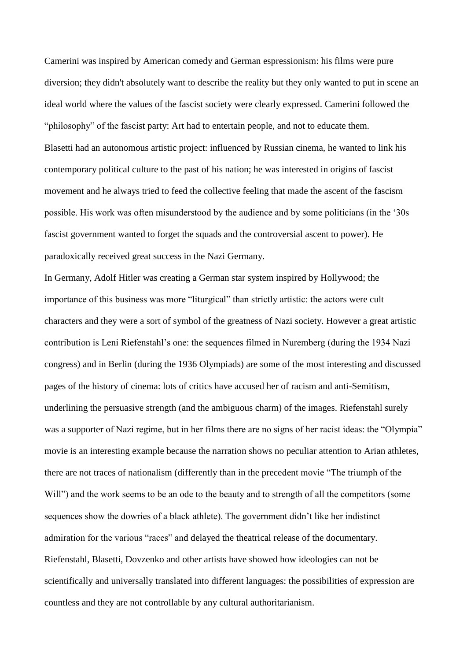Camerini was inspired by American comedy and German espressionism: his films were pure diversion; they didn't absolutely want to describe the reality but they only wanted to put in scene an ideal world where the values of the fascist society were clearly expressed. Camerini followed the "philosophy" of the fascist party: Art had to entertain people, and not to educate them. Blasetti had an autonomous artistic project: influenced by Russian cinema, he wanted to link his contemporary political culture to the past of his nation; he was interested in origins of fascist movement and he always tried to feed the collective feeling that made the ascent of the fascism possible. His work was often misunderstood by the audience and by some politicians (in the "30s fascist government wanted to forget the squads and the controversial ascent to power). He paradoxically received great success in the Nazi Germany.

In Germany, Adolf Hitler was creating a German star system inspired by Hollywood; the importance of this business was more "liturgical" than strictly artistic: the actors were cult characters and they were a sort of symbol of the greatness of Nazi society. However a great artistic contribution is Leni Riefenstahl's one: the sequences filmed in Nuremberg (during the 1934 Nazi congress) and in Berlin (during the 1936 Olympiads) are some of the most interesting and discussed pages of the history of cinema: lots of critics have accused her of racism and anti-Semitism, underlining the persuasive strength (and the ambiguous charm) of the images. Riefenstahl surely was a supporter of Nazi regime, but in her films there are no signs of her racist ideas: the "Olympia" movie is an interesting example because the narration shows no peculiar attention to Arian athletes, there are not traces of nationalism (differently than in the precedent movie "The triumph of the Will") and the work seems to be an ode to the beauty and to strength of all the competitors (some sequences show the dowries of a black athlete). The government didn"t like her indistinct admiration for the various "races" and delayed the theatrical release of the documentary. Riefenstahl, Blasetti, Dovzenko and other artists have showed how ideologies can not be scientifically and universally translated into different languages: the possibilities of expression are countless and they are not controllable by any cultural authoritarianism.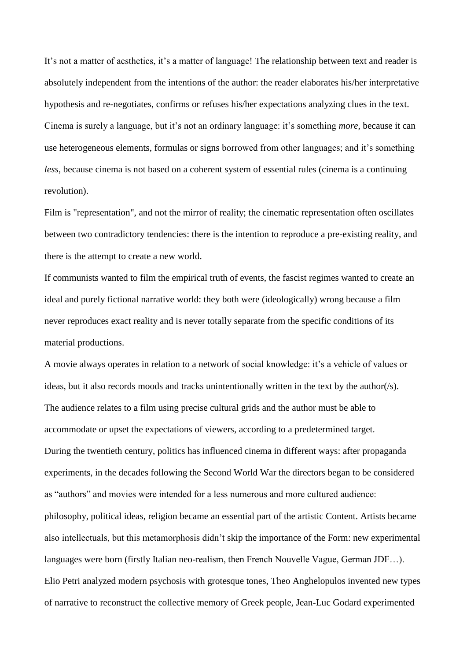It's not a matter of aesthetics, it's a matter of language! The relationship between text and reader is absolutely independent from the intentions of the author: the reader elaborates his/her interpretative hypothesis and re-negotiates, confirms or refuses his/her expectations analyzing clues in the text. Cinema is surely a language, but it's not an ordinary language: it's something *more*, because it can use heterogeneous elements, formulas or signs borrowed from other languages; and it's something *less*, because cinema is not based on a coherent system of essential rules (cinema is a continuing revolution).

Film is "representation", and not the mirror of reality; the cinematic representation often oscillates between two contradictory tendencies: there is the intention to reproduce a pre-existing reality, and there is the attempt to create a new world.

If communists wanted to film the empirical truth of events, the fascist regimes wanted to create an ideal and purely fictional narrative world: they both were (ideologically) wrong because a film never reproduces exact reality and is never totally separate from the specific conditions of its material productions.

A movie always operates in relation to a network of social knowledge: it's a vehicle of values or ideas, but it also records moods and tracks unintentionally written in the text by the author(/s). The audience relates to a film using precise cultural grids and the author must be able to accommodate or upset the expectations of viewers, according to a predetermined target. During the twentieth century, politics has influenced cinema in different ways: after propaganda experiments, in the decades following the Second World War the directors began to be considered as "authors" and movies were intended for a less numerous and more cultured audience: philosophy, political ideas, religion became an essential part of the artistic Content. Artists became also intellectuals, but this metamorphosis didn"t skip the importance of the Form: new experimental languages were born (firstly Italian neo-realism, then French Nouvelle Vague, German JDF…). Elio Petri analyzed modern psychosis with grotesque tones, Theo Anghelopulos invented new types of narrative to reconstruct the collective memory of Greek people, Jean-Luc Godard experimented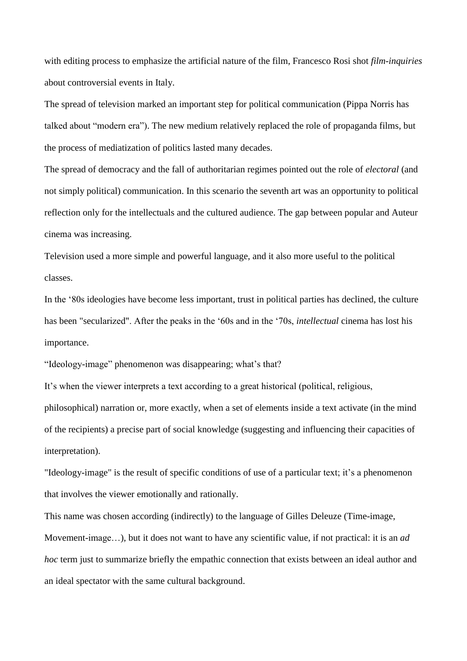with editing process to emphasize the artificial nature of the film, Francesco Rosi shot *film-inquiries* about controversial events in Italy.

The spread of television marked an important step for political communication (Pippa Norris has talked about "modern era"). The new medium relatively replaced the role of propaganda films, but the process of mediatization of politics lasted many decades.

The spread of democracy and the fall of authoritarian regimes pointed out the role of *electoral* (and not simply political) communication. In this scenario the seventh art was an opportunity to political reflection only for the intellectuals and the cultured audience. The gap between popular and Auteur cinema was increasing.

Television used a more simple and powerful language, and it also more useful to the political classes.

In the "80s ideologies have become less important, trust in political parties has declined, the culture has been "secularized". After the peaks in the "60s and in the "70s, *intellectual* cinema has lost his importance.

"Ideology-image" phenomenon was disappearing; what's that?

It"s when the viewer interprets a text according to a great historical (political, religious,

philosophical) narration or, more exactly, when a set of elements inside a text activate (in the mind of the recipients) a precise part of social knowledge (suggesting and influencing their capacities of interpretation).

"Ideology-image" is the result of specific conditions of use of a particular text; it's a phenomenon that involves the viewer emotionally and rationally.

This name was chosen according (indirectly) to the language of Gilles Deleuze (Time-image, Movement-image…), but it does not want to have any scientific value, if not practical: it is an *ad hoc* term just to summarize briefly the empathic connection that exists between an ideal author and an ideal spectator with the same cultural background.